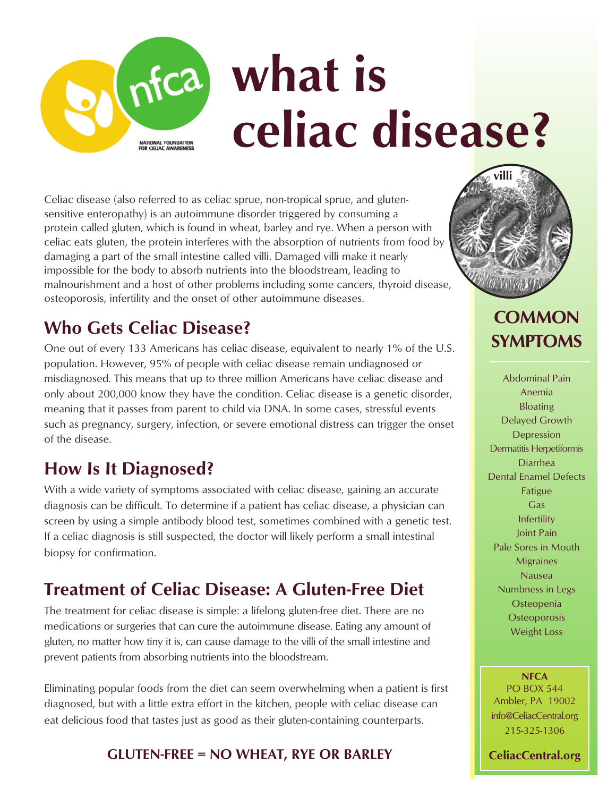# **what is celiac disease?** NATIONAL FOUNDATION

Celiac disease (also referred to as celiac sprue, non-tropical sprue, and glutensensitive enteropathy) is an autoimmune disorder triggered by consuming a protein called gluten, which is found in wheat, barley and rye. When a person with celiac eats gluten, the protein interferes with the absorption of nutrients from food by damaging a part of the small intestine called villi. Damaged villi make it nearly impossible for the body to absorb nutrients into the bloodstream, leading to malnourishment and a host of other problems including some cancers, thyroid disease, osteoporosis, infertility and the onset of other autoimmune diseases.

### **Who Gets Celiac Disease?**

One out of every 133 Americans has celiac disease, equivalent to nearly 1% of the U.S. population. However, 95% of people with celiac disease remain undiagnosed or misdiagnosed. This means that up to three million Americans have celiac disease and only about 200,000 know they have the condition. Celiac disease is a genetic disorder, meaning that it passes from parent to child via DNA. In some cases, stressful events such as pregnancy, surgery, infection, or severe emotional distress can trigger the onset of the disease.

## **How Is It Diagnosed?**

With a wide variety of symptoms associated with celiac disease, gaining an accurate diagnosis can be difficult. To determine if a patient has celiac disease, a physician can screen by using a simple antibody blood test, sometimes combined with a genetic test. If a celiac diagnosis is still suspected, the doctor will likely perform a small intestinal biopsy for confirmation.

# **Treatment of Celiac Disease: A Gluten-Free Diet**

The treatment for celiac disease is simple: a lifelong gluten-free diet. There are no medications or surgeries that can cure the autoimmune disease. Eating any amount of gluten, no matter how tiny it is, can cause damage to the villi of the small intestine and prevent patients from absorbing nutrients into the bloodstream.

Eliminating popular foods from the diet can seem overwhelming when a patient is first diagnosed, but with a little extra effort in the kitchen, people with celiac disease can eat delicious food that tastes just as good as their gluten-containing counterparts.

#### **GLUTEN-FREE = NO WHEAT, RYE OR BARLEY**



## **COMMON SYMPTOMS**

Abdominal Pain Anemia Bloating Delayed Growth Depression Dermatitis Herpetiformis Diarrhea Dental Enamel Defects Fatigue Gas Infertility Joint Pain Pale Sores in Mouth Migraines Nausea Numbness in Legs **Osteopenia Osteoporosis** Weight Loss

**NFCA** PO BOX 544 Ambler, PA 19002 info@CeliacCentral.org 215-325-1306

**CeliacCentral.org**